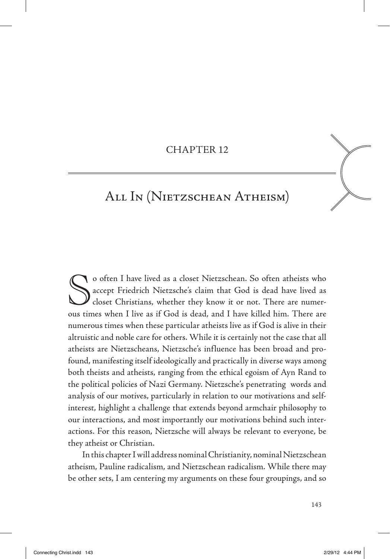### CHAPTeR 12

## All In (Nietzschean Atheism)

So often I have lived as a closet Nietzschean. So often atheists who<br>accept Friedrich Nietzsche's claim that God is dead have lived as<br>closet Christians, whether they know it or not. There are numer-<br>ous times when I live accept Friedrich Nietzsche's claim that God is dead have lived as closet Christians, whether they know it or not. There are numerous times when I live as if God is dead, and I have killed him. There are numerous times when these particular atheists live as if God is alive in their altruistic and noble care for others. While it is certainly not the case that all atheists are Nietzscheans, Nietzsche's influence has been broad and profound, manifesting itself ideologically and practically in diverse ways among both theists and atheists, ranging from the ethical egoism of Ayn Rand to the political policies of Nazi Germany. Nietzsche's penetrating words and analysis of our motives, particularly in relation to our motivations and selfinterest, highlight a challenge that extends beyond armchair philosophy to our interactions, and most importantly our motivations behind such interactions. For this reason, Nietzsche will always be relevant to everyone, be they atheist or Christian.

In this chapter I will address nominal Christianity, nominal Nietzschean atheism, Pauline radicalism, and Nietzschean radicalism. While there may be other sets, I am centering my arguments on these four groupings, and so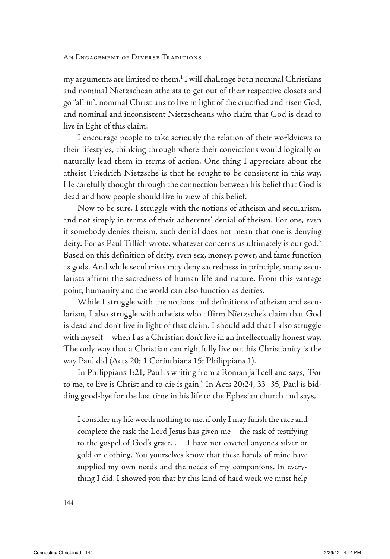my arguments are limited to them.<sup>1</sup> I will challenge both nominal Christians and nominal Nietzschean atheists to get out of their respective closets and go "all in": nominal Christians to live in light of the crucified and risen God, and nominal and inconsistent Nietzscheans who claim that God is dead to live in light of this claim.

I encourage people to take seriously the relation of their worldviews to their lifestyles, thinking through where their convictions would logically or naturally lead them in terms of action. One thing I appreciate about the atheist Friedrich Nietzsche is that he sought to be consistent in this way. He carefully thought through the connection between his belief that God is dead and how people should live in view of this belief.

Now to be sure, I struggle with the notions of atheism and secularism, and not simply in terms of their adherents' denial of theism. For one, even if somebody denies theism, such denial does not mean that one is denying deity. For as Paul Tillich wrote, whatever concerns us ultimately is our god.2 Based on this definition of deity, even sex, money, power, and fame function as gods. And while secularists may deny sacredness in principle, many secularists affirm the sacredness of human life and nature. From this vantage point, humanity and the world can also function as deities.

While I struggle with the notions and definitions of atheism and secularism, I also struggle with atheists who affirm Nietzsche's claim that God is dead and don't live in light of that claim. I should add that I also struggle with myself—when I as a Christian don't live in an intellectually honest way. The only way that a Christian can rightfully live out his Christianity is the way Paul did (Acts 20; 1 Corinthians 15; Philippians 1).

In Philippians 1:21, Paul is writing from a Roman jail cell and says, "For to me, to live is Christ and to die is gain." In Acts 20:24, 33–35, Paul is bidding good-bye for the last time in his life to the Ephesian church and says,

I consider my life worth nothing to me, if only I may finish the race and complete the task the Lord Jesus has given me—the task of testifying to the gospel of God's grace. . . . I have not coveted anyone's silver or gold or clothing. You yourselves know that these hands of mine have supplied my own needs and the needs of my companions. In everything I did, I showed you that by this kind of hard work we must help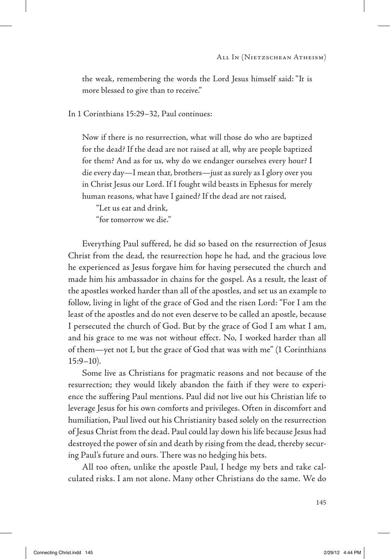the weak, remembering the words the Lord Jesus himself said: "It is more blessed to give than to receive."

In 1 Corinthians 15:29–32, Paul continues:

Now if there is no resurrection, what will those do who are baptized for the dead? If the dead are not raised at all, why are people baptized for them? And as for us, why do we endanger ourselves every hour? I die every day—I mean that, brothers—just as surely as I glory over you in Christ Jesus our Lord. If I fought wild beasts in Ephesus for merely human reasons, what have I gained? If the dead are not raised,

"Let us eat and drink, "for tomorrow we die."

Everything Paul suffered, he did so based on the resurrection of Jesus Christ from the dead, the resurrection hope he had, and the gracious love he experienced as Jesus forgave him for having persecuted the church and made him his ambassador in chains for the gospel. As a result, the least of the apostles worked harder than all of the apostles, and set us an example to follow, living in light of the grace of God and the risen Lord: "For I am the least of the apostles and do not even deserve to be called an apostle, because I persecuted the church of God. But by the grace of God I am what I am, and his grace to me was not without effect. No, I worked harder than all of them—yet not I, but the grace of God that was with me" (1 Corinthians  $15:9-10$ ).

Some live as Christians for pragmatic reasons and not because of the resurrection; they would likely abandon the faith if they were to experience the suffering Paul mentions. Paul did not live out his Christian life to leverage Jesus for his own comforts and privileges. Often in discomfort and humiliation, Paul lived out his Christianity based solely on the resurrection of Jesus Christ from the dead. Paul could lay down his life because Jesus had destroyed the power of sin and death by rising from the dead, thereby securing Paul's future and ours. There was no hedging his bets.

All too often, unlike the apostle Paul, I hedge my bets and take calculated risks. I am not alone. Many other Christians do the same. We do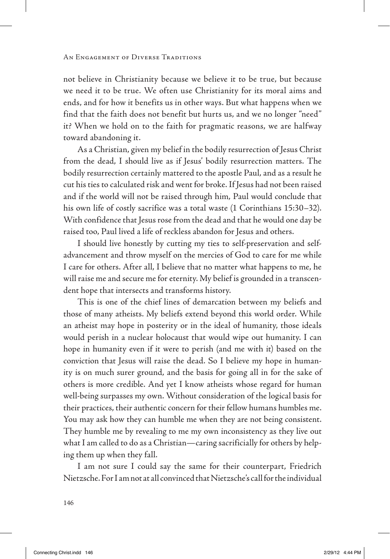not believe in Christianity because we believe it to be true, but because we need it to be true. We often use Christianity for its moral aims and ends, and for how it benefits us in other ways. But what happens when we find that the faith does not benefit but hurts us, and we no longer "need" it? When we hold on to the faith for pragmatic reasons, we are halfway toward abandoning it.

As a Christian, given my belief in the bodily resurrection of Jesus Christ from the dead, I should live as if Jesus' bodily resurrection matters. The bodily resurrection certainly mattered to the apostle Paul, and as a result he cut his ties to calculated risk and went for broke. If Jesus had not been raised and if the world will not be raised through him, Paul would conclude that his own life of costly sacrifice was a total waste (1 Corinthians 15:30–32). With confidence that Jesus rose from the dead and that he would one day be raised too, Paul lived a life of reckless abandon for Jesus and others.

I should live honestly by cutting my ties to self-preservation and selfadvancement and throw myself on the mercies of God to care for me while I care for others. After all, I believe that no matter what happens to me, he will raise me and secure me for eternity. My belief is grounded in a transcendent hope that intersects and transforms history.

This is one of the chief lines of demarcation between my beliefs and those of many atheists. My beliefs extend beyond this world order. While an atheist may hope in posterity or in the ideal of humanity, those ideals would perish in a nuclear holocaust that would wipe out humanity. I can hope in humanity even if it were to perish (and me with it) based on the conviction that Jesus will raise the dead. So I believe my hope in humanity is on much surer ground, and the basis for going all in for the sake of others is more credible. And yet I know atheists whose regard for human well-being surpasses my own. Without consideration of the logical basis for their practices, their authentic concern for their fellow humans humbles me. You may ask how they can humble me when they are not being consistent. They humble me by revealing to me my own inconsistency as they live out what I am called to do as a Christian—caring sacrificially for others by helping them up when they fall.

I am not sure I could say the same for their counterpart, Friedrich Nietzsche. For I am not at all convinced that Nietzsche's call for the individual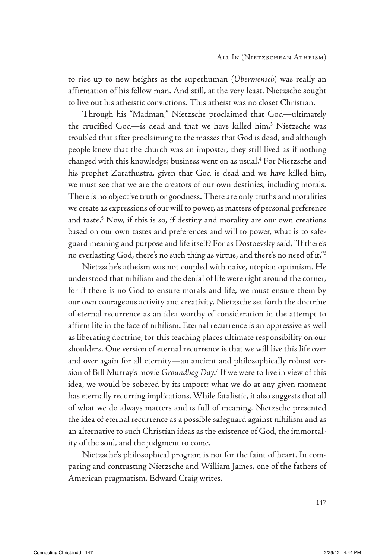to rise up to new heights as the superhuman (*Übermensch*) was really an affirmation of his fellow man. And still, at the very least, Nietzsche sought to live out his atheistic convictions. This atheist was no closet Christian.

Through his "Madman," Nietzsche proclaimed that God—ultimately the crucified God—is dead and that we have killed him.3 Nietzsche was troubled that after proclaiming to the masses that God is dead, and although people knew that the church was an imposter, they still lived as if nothing changed with this knowledge; business went on as usual.<sup>4</sup> For Nietzsche and his prophet Zarathustra, given that God is dead and we have killed him, we must see that we are the creators of our own destinies, including morals. There is no objective truth or goodness. There are only truths and moralities we create as expressions of our will to power, as matters of personal preference and taste.<sup>5</sup> Now, if this is so, if destiny and morality are our own creations based on our own tastes and preferences and will to power, what is to safeguard meaning and purpose and life itself? For as Dostoevsky said, "If there's no everlasting God, there's no such thing as virtue, and there's no need of it."6

Nietzsche's atheism was not coupled with naive, utopian optimism. He understood that nihilism and the denial of life were right around the corner, for if there is no God to ensure morals and life, we must ensure them by our own courageous activity and creativity. Nietzsche set forth the doctrine of eternal recurrence as an idea worthy of consideration in the attempt to affirm life in the face of nihilism. Eternal recurrence is an oppressive as well as liberating doctrine, for this teaching places ultimate responsibility on our shoulders. One version of eternal recurrence is that we will live this life over and over again for all eternity—an ancient and philosophically robust version of Bill Murray's movie *Groundhog Day*. 7 If we were to live in view of this idea, we would be sobered by its import: what we do at any given moment has eternally recurring implications. While fatalistic, it also suggests that all of what we do always matters and is full of meaning. Nietzsche presented the idea of eternal recurrence as a possible safeguard against nihilism and as an alternative to such Christian ideas as the existence of God, the immortality of the soul, and the judgment to come.

Nietzsche's philosophical program is not for the faint of heart. In comparing and contrasting Nietzsche and William James, one of the fathers of American pragmatism, Edward Craig writes,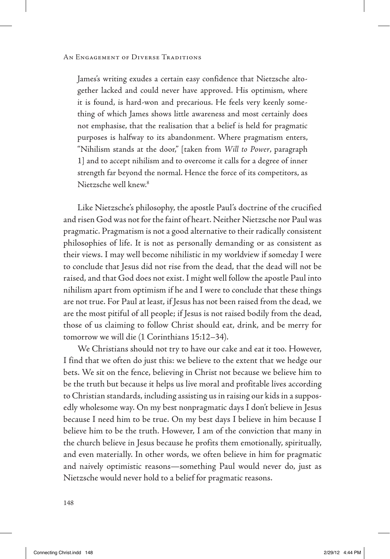James's writing exudes a certain easy confidence that Nietzsche altogether lacked and could never have approved. His optimism, where it is found, is hard-won and precarious. He feels very keenly something of which James shows little awareness and most certainly does not emphasise, that the realisation that a belief is held for pragmatic purposes is halfway to its abandonment. Where pragmatism enters, "Nihilism stands at the door," [taken from *Will to Power*, paragraph 1] and to accept nihilism and to overcome it calls for a degree of inner strength far beyond the normal. Hence the force of its competitors, as Nietzsche well knew.8

Like Nietzsche's philosophy, the apostle Paul's doctrine of the crucified and risen God was not for the faint of heart. Neither Nietzsche nor Paul was pragmatic. Pragmatism is not a good alternative to their radically consistent philosophies of life. It is not as personally demanding or as consistent as their views. I may well become nihilistic in my worldview if someday I were to conclude that Jesus did not rise from the dead, that the dead will not be raised, and that God does not exist. I might well follow the apostle Paul into nihilism apart from optimism if he and I were to conclude that these things are not true. For Paul at least, if Jesus has not been raised from the dead, we are the most pitiful of all people; if Jesus is not raised bodily from the dead, those of us claiming to follow Christ should eat, drink, and be merry for tomorrow we will die (1 Corinthians 15:12–34).

We Christians should not try to have our cake and eat it too. However, I find that we often do just this: we believe to the extent that we hedge our bets. We sit on the fence, believing in Christ not because we believe him to be the truth but because it helps us live moral and profitable lives according to Christian standards, including assisting us in raising our kids in a supposedly wholesome way. On my best nonpragmatic days I don't believe in Jesus because I need him to be true. On my best days I believe in him because I believe him to be the truth. However, I am of the conviction that many in the church believe in Jesus because he profits them emotionally, spiritually, and even materially. In other words, we often believe in him for pragmatic and naively optimistic reasons—something Paul would never do, just as Nietzsche would never hold to a belief for pragmatic reasons.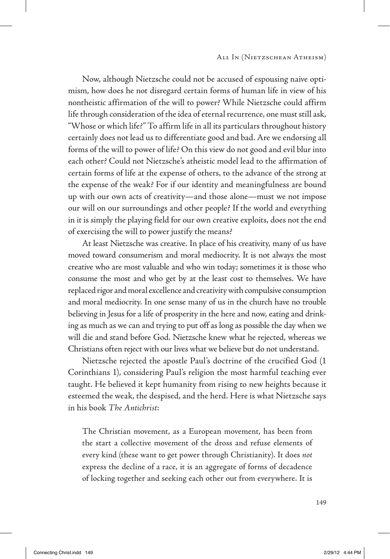Now, although Nietzsche could not be accused of espousing naive optimism, how does he not disregard certain forms of human life in view of his nontheistic affirmation of the will to power? While Nietzsche could affirm life through consideration of the idea of eternal recurrence, one must still ask, "Whose or which life?" To affirm life in all its particulars throughout history certainly does not lead us to differentiate good and bad. Are we endorsing all forms of the will to power of life? On this view do not good and evil blur into each other? Could not Nietzsche's atheistic model lead to the affirmation of certain forms of life at the expense of others, to the advance of the strong at the expense of the weak? For if our identity and meaningfulness are bound up with our own acts of creativity—and those alone—must we not impose our will on our surroundings and other people? If the world and everything in it is simply the playing field for our own creative exploits, does not the end of exercising the will to power justify the means?

At least Nietzsche was creative. In place of his creativity, many of us have moved toward consumerism and moral mediocrity. It is not always the most creative who are most valuable and who win today; sometimes it is those who consume the most and who get by at the least cost to themselves. We have replaced rigor and moral excellence and creativity with compulsive consumption and moral mediocrity. In one sense many of us in the church have no trouble believing in Jesus for a life of prosperity in the here and now, eating and drinking as much as we can and trying to put off as long as possible the day when we will die and stand before God. Nietzsche knew what he rejected, whereas we Christians often reject with our lives what we believe but do not understand.

Nietzsche rejected the apostle Paul's doctrine of the crucified God (1 Corinthians 1), considering Paul's religion the most harmful teaching ever taught. He believed it kept humanity from rising to new heights because it esteemed the weak, the despised, and the herd. Here is what Nietzsche says in his book *The Antichrist*:

The Christian movement, as a European movement, has been from the start a collective movement of the dross and refuse elements of every kind (these want to get power through Christianity). It does *not* express the decline of a race, it is an aggregate of forms of decadence of locking together and seeking each other out from everywhere. It is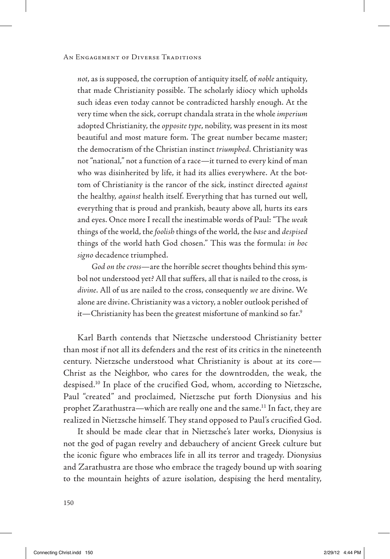*not*, as is supposed, the corruption of antiquity itself, of *noble* antiquity, that made Christianity possible. The scholarly idiocy which upholds such ideas even today cannot be contradicted harshly enough. At the very time when the sick, corrupt chandala strata in the whole *imperium* adopted Christianity, the *opposite type*, nobility, was present in its most beautiful and most mature form. The great number became master; the democratism of the Christian instinct *triumphed*. Christianity was not "national," not a function of a race—it turned to every kind of man who was disinherited by life, it had its allies everywhere. At the bottom of Christianity is the rancor of the sick, instinct directed *against* the healthy, *against* health itself. Everything that has turned out well, everything that is proud and prankish, beauty above all, hurts its ears and eyes. Once more I recall the inestimable words of Paul: "The *weak* things of the world, the *foolish* things of the world, the *base* and *despised* things of the world hath God chosen." This was the formula: *in hoc signo* decadence triumphed.

*God on the cross*—are the horrible secret thoughts behind this symbol not understood yet? All that suffers, all that is nailed to the cross, is *divine*. All of us are nailed to the cross, consequently *we* are divine. We alone are divine. Christianity was a victory, a nobler outlook perished of it—Christianity has been the greatest misfortune of mankind so far.9

Karl Barth contends that Nietzsche understood Christianity better than most if not all its defenders and the rest of its critics in the nineteenth century. Nietzsche understood what Christianity is about at its core— Christ as the Neighbor, who cares for the downtrodden, the weak, the despised.10 In place of the crucified God, whom, according to Nietzsche, Paul "created" and proclaimed, Nietzsche put forth Dionysius and his prophet Zarathustra—which are really one and the same.<sup>11</sup> In fact, they are realized in Nietzsche himself. They stand opposed to Paul's crucified God.

It should be made clear that in Nietzsche's later works, Dionysius is not the god of pagan revelry and debauchery of ancient Greek culture but the iconic figure who embraces life in all its terror and tragedy. Dionysius and Zarathustra are those who embrace the tragedy bound up with soaring to the mountain heights of azure isolation, despising the herd mentality,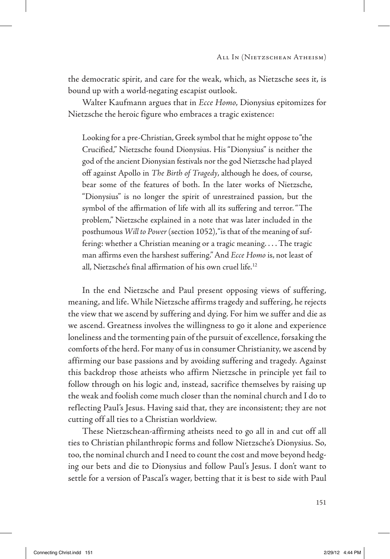the democratic spirit, and care for the weak, which, as Nietzsche sees it, is bound up with a world-negating escapist outlook.

Walter Kaufmann argues that in *Ecce Homo*, Dionysius epitomizes for Nietzsche the heroic figure who embraces a tragic existence:

Looking for a pre-Christian, Greek symbol that he might oppose to "the Crucified," Nietzsche found Dionysius. His "Dionysius" is neither the god of the ancient Dionysian festivals nor the god Nietzsche had played off against Apollo in *The Birth of Tragedy*, although he does, of course, bear some of the features of both. In the later works of Nietzsche, "Dionysius" is no longer the spirit of unrestrained passion, but the symbol of the affirmation of life with all its suffering and terror. "The problem," Nietzsche explained in a note that was later included in the posthumous *Will to Power* (section 1052), "is that of the meaning of suffering: whether a Christian meaning or a tragic meaning. . . . The tragic man affirms even the harshest suffering." And *Ecce Homo* is, not least of all, Nietzsche's final affirmation of his own cruel life.12

In the end Nietzsche and Paul present opposing views of suffering, meaning, and life. While Nietzsche affirms tragedy and suffering, he rejects the view that we ascend by suffering and dying. For him we suffer and die as we ascend. Greatness involves the willingness to go it alone and experience loneliness and the tormenting pain of the pursuit of excellence, forsaking the comforts of the herd. For many of us in consumer Christianity, we ascend by affirming our base passions and by avoiding suffering and tragedy. Against this backdrop those atheists who affirm Nietzsche in principle yet fail to follow through on his logic and, instead, sacrifice themselves by raising up the weak and foolish come much closer than the nominal church and I do to reflecting Paul's Jesus. Having said that, they are inconsistent; they are not cutting off all ties to a Christian worldview.

These Nietzschean-affirming atheists need to go all in and cut off all ties to Christian philanthropic forms and follow Nietzsche's Dionysius. So, too, the nominal church and I need to count the cost and move beyond hedging our bets and die to Dionysius and follow Paul's Jesus. I don't want to settle for a version of Pascal's wager, betting that it is best to side with Paul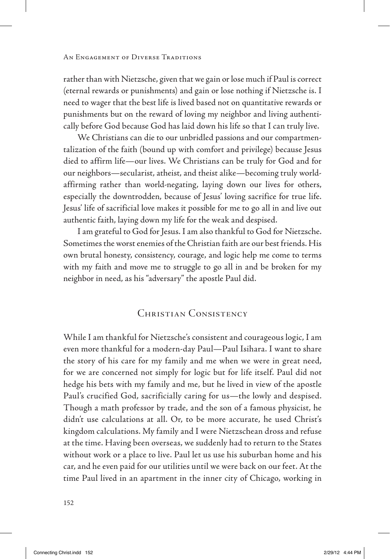rather than with Nietzsche, given that we gain or lose much if Paul is correct (eternal rewards or punishments) and gain or lose nothing if Nietzsche is. I need to wager that the best life is lived based not on quantitative rewards or punishments but on the reward of loving my neighbor and living authentically before God because God has laid down his life so that I can truly live.

We Christians can die to our unbridled passions and our compartmentalization of the faith (bound up with comfort and privilege) because Jesus died to affirm life—our lives. We Christians can be truly for God and for our neighbors—secularist, atheist, and theist alike—becoming truly worldaffirming rather than world-negating, laying down our lives for others, especially the downtrodden, because of Jesus' loving sacrifice for true life. Jesus' life of sacrificial love makes it possible for me to go all in and live out authentic faith, laying down my life for the weak and despised.

I am grateful to God for Jesus. I am also thankful to God for Nietzsche. Sometimes the worst enemies of the Christian faith are our best friends. His own brutal honesty, consistency, courage, and logic help me come to terms with my faith and move me to struggle to go all in and be broken for my neighbor in need, as his "adversary" the apostle Paul did.

### Christian Consistency

While I am thankful for Nietzsche's consistent and courageous logic, I am even more thankful for a modern-day Paul—Paul Isihara. I want to share the story of his care for my family and me when we were in great need, for we are concerned not simply for logic but for life itself. Paul did not hedge his bets with my family and me, but he lived in view of the apostle Paul's crucified God, sacrificially caring for us—the lowly and despised. Though a math professor by trade, and the son of a famous physicist, he didn't use calculations at all. Or, to be more accurate, he used Christ's kingdom calculations. My family and I were Nietzschean dross and refuse at the time. Having been overseas, we suddenly had to return to the States without work or a place to live. Paul let us use his suburban home and his car, and he even paid for our utilities until we were back on our feet. At the time Paul lived in an apartment in the inner city of Chicago, working in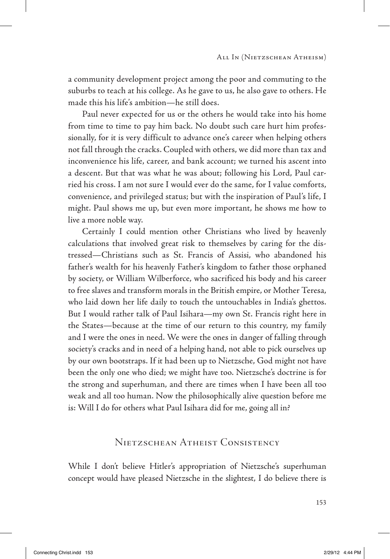a community development project among the poor and commuting to the suburbs to teach at his college. As he gave to us, he also gave to others. He made this his life's ambition—he still does.

Paul never expected for us or the others he would take into his home from time to time to pay him back. No doubt such care hurt him professionally, for it is very difficult to advance one's career when helping others not fall through the cracks. Coupled with others, we did more than tax and inconvenience his life, career, and bank account; we turned his ascent into a descent. But that was what he was about; following his Lord, Paul carried his cross. I am not sure I would ever do the same, for I value comforts, convenience, and privileged status; but with the inspiration of Paul's life, I might. Paul shows me up, but even more important, he shows me how to live a more noble way.

Certainly I could mention other Christians who lived by heavenly calculations that involved great risk to themselves by caring for the distressed—Christians such as St. Francis of Assisi, who abandoned his father's wealth for his heavenly Father's kingdom to father those orphaned by society, or William Wilberforce, who sacrificed his body and his career to free slaves and transform morals in the British empire, or Mother Teresa, who laid down her life daily to touch the untouchables in India's ghettos. But I would rather talk of Paul Isihara—my own St. Francis right here in the States—because at the time of our return to this country, my family and I were the ones in need. We were the ones in danger of falling through society's cracks and in need of a helping hand, not able to pick ourselves up by our own bootstraps. If it had been up to Nietzsche, God might not have been the only one who died; we might have too. Nietzsche's doctrine is for the strong and superhuman, and there are times when I have been all too weak and all too human. Now the philosophically alive question before me is: Will I do for others what Paul Isihara did for me, going all in?

### Nietzschean Atheist Consistency

While I don't believe Hitler's appropriation of Nietzsche's superhuman concept would have pleased Nietzsche in the slightest, I do believe there is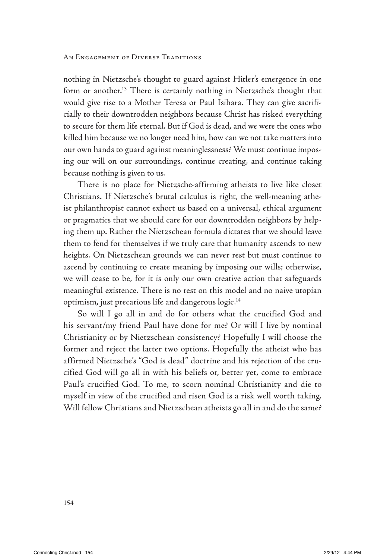nothing in Nietzsche's thought to guard against Hitler's emergence in one form or another.<sup>13</sup> There is certainly nothing in Nietzsche's thought that would give rise to a Mother Teresa or Paul Isihara. They can give sacrificially to their downtrodden neighbors because Christ has risked everything to secure for them life eternal. But if God is dead, and we were the ones who killed him because we no longer need him, how can we not take matters into our own hands to guard against meaninglessness? We must continue imposing our will on our surroundings, continue creating, and continue taking because nothing is given to us.

There is no place for Nietzsche-affirming atheists to live like closet Christians. If Nietzsche's brutal calculus is right, the well-meaning atheist philanthropist cannot exhort us based on a universal, ethical argument or pragmatics that we should care for our downtrodden neighbors by helping them up. Rather the Nietzschean formula dictates that we should leave them to fend for themselves if we truly care that humanity ascends to new heights. On Nietzschean grounds we can never rest but must continue to ascend by continuing to create meaning by imposing our wills; otherwise, we will cease to be, for it is only our own creative action that safeguards meaningful existence. There is no rest on this model and no naive utopian optimism, just precarious life and dangerous logic.14

So will I go all in and do for others what the crucified God and his servant/my friend Paul have done for me? Or will I live by nominal Christianity or by Nietzschean consistency? Hopefully I will choose the former and reject the latter two options. Hopefully the atheist who has affirmed Nietzsche's "God is dead" doctrine and his rejection of the crucified God will go all in with his beliefs or, better yet, come to embrace Paul's crucified God. To me, to scorn nominal Christianity and die to myself in view of the crucified and risen God is a risk well worth taking. Will fellow Christians and Nietzschean atheists go all in and do the same?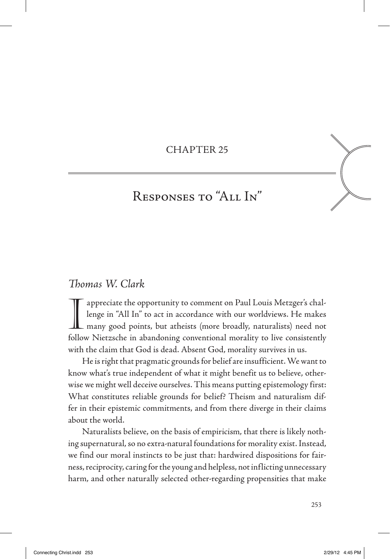### CHAPTeR 25

# Responses to "All In"

### *Thomas W. Clark*

Image in "All In" to act in accordance with our worldviews. He makes<br>many good points, but atheists (more broadly, naturalists) need not appreciate the opportunity to comment on Paul Louis Metzger's challenge in "All In" to act in accordance with our worldviews. He makes follow Nietzsche in abandoning conventional morality to live consistently with the claim that God is dead. Absent God, morality survives in us.

He is right that pragmatic grounds for belief are insufficient. We want to know what's true independent of what it might benefit us to believe, otherwise we might well deceive ourselves. This means putting epistemology first: What constitutes reliable grounds for belief? Theism and naturalism differ in their epistemic commitments, and from there diverge in their claims about the world.

Naturalists believe, on the basis of empiricism, that there is likely nothing supernatural, so no extra-natural foundations for morality exist. Instead, we find our moral instincts to be just that: hardwired dispositions for fairness, reciprocity, caring for the young and helpless, not inflicting unnecessary harm, and other naturally selected other-regarding propensities that make